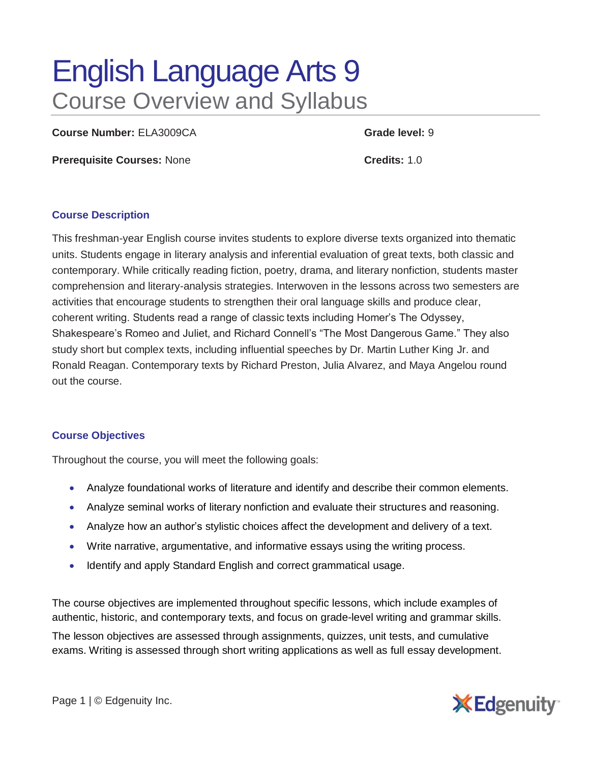# English Language Arts 9 Course Overview and Syllabus

**Course Number:** ELA3009CA **Grade level:** 9

**Prerequisite Courses:** None **Credits:** 1.0

### **Course Description**

This freshman-year English course invites students to explore diverse texts organized into thematic units. Students engage in literary analysis and inferential evaluation of great texts, both classic and contemporary. While critically reading fiction, poetry, drama, and literary nonfiction, students master comprehension and literary-analysis strategies. Interwoven in the lessons across two semesters are activities that encourage students to strengthen their oral language skills and produce clear, coherent writing. Students read a range of classic texts including Homer's The Odyssey, Shakespeare's Romeo and Juliet, and Richard Connell's "The Most Dangerous Game." They also study short but complex texts, including influential speeches by Dr. Martin Luther King Jr. and Ronald Reagan. Contemporary texts by Richard Preston, Julia Alvarez, and Maya Angelou round out the course.

### **Course Objectives**

Throughout the course, you will meet the following goals:

- Analyze foundational works of literature and identify and describe their common elements.
- Analyze seminal works of literary nonfiction and evaluate their structures and reasoning.
- Analyze how an author's stylistic choices affect the development and delivery of a text.
- Write narrative, argumentative, and informative essays using the writing process.
- Identify and apply Standard English and correct grammatical usage.

The course objectives are implemented throughout specific lessons, which include examples of authentic, historic, and contemporary texts, and focus on grade-level writing and grammar skills.

The lesson objectives are assessed through assignments, quizzes, unit tests, and cumulative exams. Writing is assessed through short writing applications as well as full essay development.

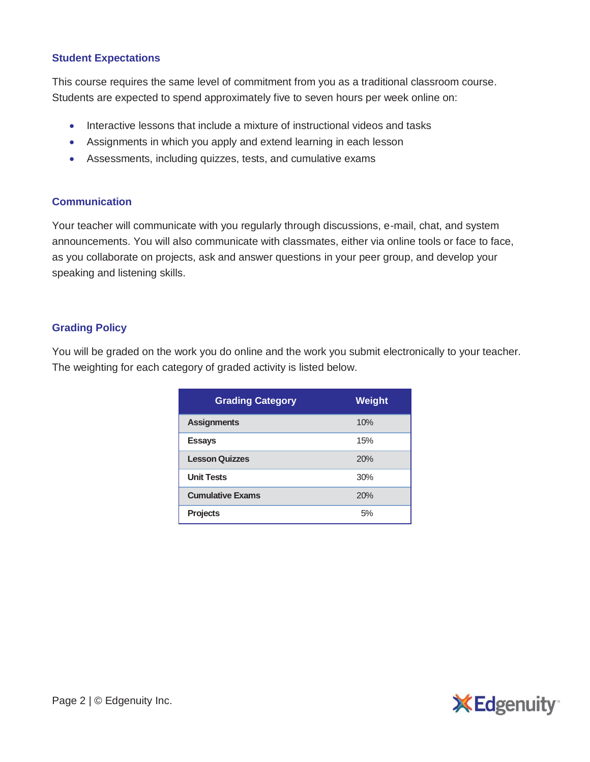## **Student Expectations**

This course requires the same level of commitment from you as a traditional classroom course. Students are expected to spend approximately five to seven hours per week online on:

- Interactive lessons that include a mixture of instructional videos and tasks
- Assignments in which you apply and extend learning in each lesson
- Assessments, including quizzes, tests, and cumulative exams

### **Communication**

Your teacher will communicate with you regularly through discussions, e-mail, chat, and system announcements. You will also communicate with classmates, either via online tools or face to face, as you collaborate on projects, ask and answer questions in your peer group, and develop your speaking and listening skills.

## **Grading Policy**

You will be graded on the work you do online and the work you submit electronically to your teacher. The weighting for each category of graded activity is listed below.

| <b>Grading Category</b> | <b>Weight</b> |
|-------------------------|---------------|
| <b>Assignments</b>      | 10%           |
| <b>Essays</b>           | 15%           |
| <b>Lesson Quizzes</b>   | 20%           |
| <b>Unit Tests</b>       | 30%           |
| <b>Cumulative Exams</b> | 20%           |
| <b>Projects</b>         | 5%            |